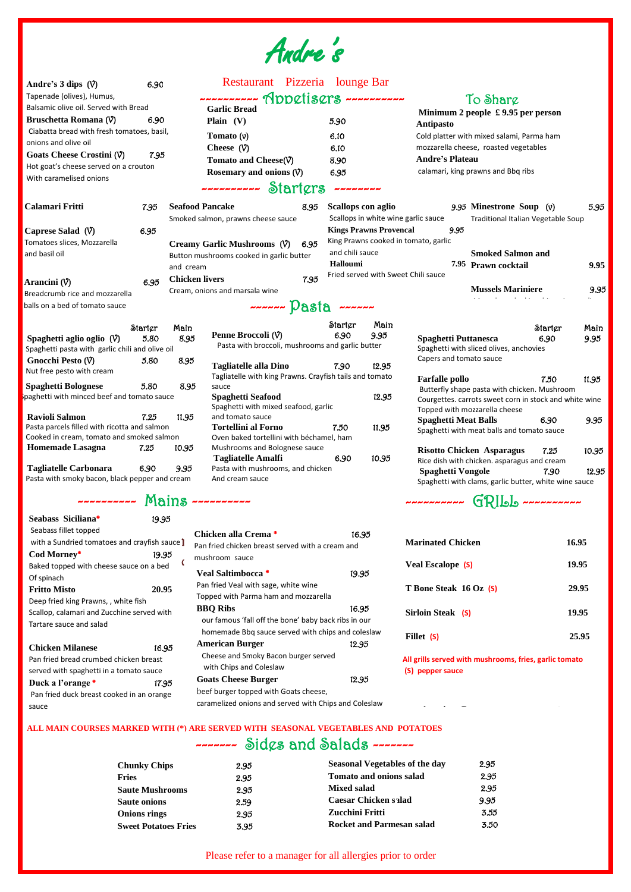Of spinach

 $\overline{\phantom{a}}$ 

 $\overline{\phantom{a}}$ 

 $\overline{\phantom{a}}$ 

**Fritto Misto 20.95**

Deep fried king Prawns, , white fish

Scallop, calamari and Zucchine served with

Tartare sauce and salad

Pan fried bread crumbed chicken breast served with spaghetti in a tomato sauce **Duck a l'orange** \* 17.95 Pan fried duck breast cooked in an orange sauce

| Andre's $3$ dips $(\forall)$                                                                                                          | 6.90    |                        | Restaurant Pizzeria lounge Bar                                         |      |                       |                               |                                                                         |                                    |       |
|---------------------------------------------------------------------------------------------------------------------------------------|---------|------------------------|------------------------------------------------------------------------|------|-----------------------|-------------------------------|-------------------------------------------------------------------------|------------------------------------|-------|
| Tapenade (olives), Humus,                                                                                                             |         |                        |                                                                        |      |                       |                               |                                                                         |                                    |       |
| Balsamic olive oil. Served with Bread                                                                                                 |         |                        | <b>Garlic Bread</b>                                                    |      |                       | To Sharg                      |                                                                         |                                    |       |
| Bruschetta Romana (V)                                                                                                                 | 6.90    |                        | Plain $(V)$                                                            |      | 5.90                  |                               | Minimum 2 people $\pounds$ 9.95 per person                              |                                    |       |
| Ciabatta bread with fresh tomatoes, basil,                                                                                            |         |                        |                                                                        |      |                       |                               | Antipasto                                                               |                                    |       |
| onions and olive oil                                                                                                                  |         |                        | Tomato $(v)$                                                           |      | 6.10                  |                               | Cold platter with mixed salami, Parma ham                               |                                    |       |
| Goats Cheese Crostini (V)                                                                                                             | 7.95    |                        | Cheese $(\forall)$                                                     |      | 6.10                  |                               | mozzarella cheese, roasted vegetables                                   |                                    |       |
| Hot goat's cheese served on a crouton                                                                                                 |         |                        | Tomato and Cheese(V)                                                   |      | 8.90                  |                               | <b>Andre's Plateau</b>                                                  |                                    |       |
| With caramelised onions                                                                                                               |         |                        | Rosemary and onions $(\forall)$                                        |      | 6.95                  |                               | calamari, king prawns and Bbq ribs                                      |                                    |       |
|                                                                                                                                       |         |                        | ---------- Starters                                                    |      | ے سے بے بے بے بے بے ب |                               |                                                                         |                                    |       |
| <b>Calamari Fritti</b>                                                                                                                | 7.95    | <b>Seafood Pancake</b> |                                                                        | 8.95 | Scallops con aglio    |                               | 9.95 Minestrone Soup $(v)$                                              |                                    | 5.95  |
|                                                                                                                                       |         |                        | Smoked salmon, prawns cheese sauce                                     |      |                       |                               | Scallops in white wine garlic sauce                                     | Traditional Italian Vegetable Soup |       |
| Caprese Salad $(\forall)$                                                                                                             | 6.95    |                        |                                                                        |      |                       | <b>Kings Prawns Provencal</b> | 9.95                                                                    |                                    |       |
| Tomatoes slices, Mozzarella                                                                                                           |         |                        | Creamy Garlic Mushrooms (V)                                            | 6.95 |                       |                               | King Prawns cooked in tomato, garlic                                    |                                    |       |
| and basil oil                                                                                                                         |         |                        | Button mushrooms cooked in garlic butter                               |      | and chili sauce       |                               | <b>Smoked Salmon and</b>                                                |                                    |       |
|                                                                                                                                       |         | and cream              |                                                                        |      | Halloumi              |                               | 7.95 Prawn cocktail                                                     |                                    | 9.95  |
|                                                                                                                                       |         | <b>Chicken livers</b>  |                                                                        | 7.95 |                       |                               | Fried served with Sweet Chili sauce                                     |                                    |       |
| Arancini $(\forall)$                                                                                                                  | 6.95    |                        | Cream, onions and marsala wine                                         |      |                       |                               | <b>Mussels Mariniere</b>                                                |                                    | 9.95  |
| Breadcrumb rice and mozzarella                                                                                                        |         |                        |                                                                        |      |                       |                               |                                                                         |                                    |       |
| balls on a bed of tomato sauce                                                                                                        |         |                        | $\sim$ ----- $\text{Paste}$ ------                                     |      |                       |                               |                                                                         |                                    |       |
|                                                                                                                                       | Starter | Main                   |                                                                        |      | Starter               | Main                          |                                                                         | Starter                            | Main  |
| Spaghetti aglio oglio $(\vartheta)$                                                                                                   | 5.80    | 8.95                   | Penne Broccoli (V)                                                     |      | 6.90                  | 9.95                          | <b>Spaghetti Puttanesca</b>                                             | 6.90                               | 9.95  |
| Spaghetti pasta with garlic chili and olive oil                                                                                       |         |                        | Pasta with broccoli, mushrooms and garlic butter                       |      |                       |                               | Spaghetti with sliced olives, anchovies                                 |                                    |       |
| Gnocchi Pesto $(\mathcal{V})$                                                                                                         | 5.80    | 8.95                   | <b>Tagliatelle alla Dino</b>                                           |      | 7.90                  | 12.95                         | Capers and tomato sauce                                                 |                                    |       |
| Nut free pesto with cream                                                                                                             |         |                        | Tagliatelle with king Prawns. Crayfish tails and tomato                |      |                       |                               |                                                                         | 7.50                               |       |
| <b>Spaghetti Bolognese</b>                                                                                                            | 5.80    | 8.95                   | sauce                                                                  |      |                       |                               | <b>Farfalle pollo</b><br>Butterfly shape pasta with chicken. Mushroom   |                                    | 11.95 |
| paghetti with minced beef and tomato sauce                                                                                            |         |                        | <b>Spaghetti Seafood</b>                                               |      |                       | 12.95                         | Courgettes. carrots sweet corn in stock and white wine                  |                                    |       |
|                                                                                                                                       |         |                        | Spaghetti with mixed seafood, garlic                                   |      |                       |                               | Topped with mozzarella cheese                                           |                                    |       |
| <b>Ravioli Salmon</b>                                                                                                                 | 7.25    | 11.95                  | and tomato sauce                                                       |      |                       |                               | <b>Spaghetti Meat Balls</b>                                             | 6.90                               | 9.95  |
| Pasta parcels filled with ricotta and salmon<br>Cooked in cream, tomato and smoked salmon                                             |         |                        | <b>Tortellini al Forno</b><br>Oven baked tortellini with béchamel, ham |      | 7.50                  | 11.95                         | Spaghetti with meat balls and tomato sauce                              |                                    |       |
| <b>Homemade Lasagna</b>                                                                                                               | 7.25    | 10.95                  | Mushrooms and Bolognese sauce                                          |      |                       |                               |                                                                         |                                    |       |
|                                                                                                                                       |         |                        | <b>Tagliatelle Amalfi</b>                                              |      | 6.90                  | 10.95                         | <b>Risotto Chicken Asparagus</b>                                        | 7.25                               | 10.95 |
| <b>Tagliatelle Carbonara</b>                                                                                                          | 6.90    | 9.95                   | Pasta with mushrooms, and chicken                                      |      |                       |                               | Rice dish with chicken. asparagus and cream<br><b>Spaghetti Vongole</b> | 7.90                               | 12.95 |
| Pasta with smoky bacon, black pepper and cream                                                                                        |         |                        | And cream sauce                                                        |      |                       |                               | Spaghetti with clams, garlic butter, white wine sauce                   |                                    |       |
|                                                                                                                                       |         |                        |                                                                        |      |                       |                               |                                                                         |                                    |       |
| $\sim$ --------- Mains ----------                                                                                                     |         |                        |                                                                        |      |                       |                               | $\sim$ --------- $GPI55$ ----------                                     |                                    |       |
| Seabass Siciliana*                                                                                                                    | 19.95   |                        |                                                                        |      |                       |                               |                                                                         |                                    |       |
| Seabass fillet topped<br>Chicken alla Crema *<br>16.95                                                                                |         |                        |                                                                        |      |                       |                               |                                                                         |                                    |       |
| <b>Marinated Chicken</b><br>16.95<br>with a Sundried tomatoes and crayfish sauce]<br>Pan fried chicken breast served with a cream and |         |                        |                                                                        |      |                       |                               |                                                                         |                                    |       |
| Cod Morney*                                                                                                                           | 19.95   |                        | mushroom sauce                                                         |      |                       |                               |                                                                         |                                    |       |
| Baked topped with cheese sauce on a bed                                                                                               |         |                        |                                                                        |      |                       |                               | <b>Veal Escalope (S)</b>                                                |                                    | 19.95 |

Andre's

#### **Chicken Milanese** 16.95 **American Burger** 12.95 Cheese and Smoky Bacon burger served with Chips and Coleslaw

**Veal Saltimbocca** \* 19.95

**e**

**t** caramelized onions and served with Chips and Coleslaw beef burger topped with Goats cheese,

Pan fried Veal with sage, white wine Topped with Parma ham and mozzarella

------- Sides and Salads -------**ALL MAIN COURSES MARKED WITH (\*) ARE SERVED WITH SEASONAL VEGETABLES AND POTATOES** i Cheese and Smoky Bacon burger served with Chips and Coles ľ

**BBQ Ribs** 16.95 our famous 'fall off the bone' baby back ribs in our homemade Bbq sauce served with chips and coleslaw

#### **Goats Cheese Burger** 12.95

| <b>Chunky Chips</b>         | 2.95 | <b>Seasonal Vegetables of the day</b> | 2.95 |
|-----------------------------|------|---------------------------------------|------|
| <b>Fries</b>                | 2.95 | <b>Tomato and onions salad</b>        | 2.95 |
| <b>Saute Mushrooms</b>      | 2.95 | <b>Mixed salad</b>                    | 2.95 |
| <b>Saute onions</b>         | 2.59 | <b>Caesar Chicken salad</b>           | 9.95 |
| <b>Onions rings</b>         | 2.95 | Zucchini Fritti                       | 3.55 |
| <b>Sweet Potatoes Fries</b> | 3.95 | <b>Rocket and Parmesan salad</b>      | 3.50 |
|                             |      |                                       |      |

Please refer to a manager for all allergies prior to order

**T Bone Steak 16 Oz (S) 29.95**

**Sirloin Steak (S) 19.95** 

**Fillet (S) 25.95**

 **(S) pepper sauce All grills served with mushrooms, fries, garlic tomato** 

y

**American Burger** 11.95